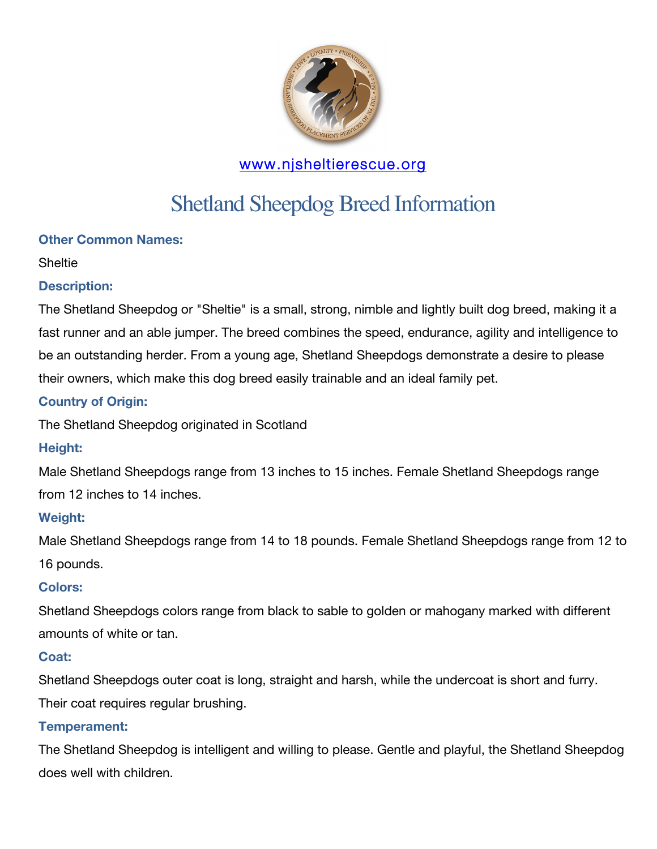

# www.njsheltierescue.org

# Shetland Sheepdog Breed Information

# **Other Common Names:**

#### **Sheltie**

# **Description:**

The Shetland Sheepdog or "Sheltie" is a small, strong, nimble and lightly built dog breed, making it a fast runner and an able jumper. The breed combines the speed, endurance, agility and intelligence to be an outstanding herder. From a young age, Shetland Sheepdogs demonstrate a desire to please their owners, which make this dog breed easily trainable and an ideal family pet.

# **Country of Origin:**

The Shetland Sheepdog originated in Scotland

#### **Height:**

Male Shetland Sheepdogs range from 13 inches to 15 inches. Female Shetland Sheepdogs range from 12 inches to 14 inches.

#### **Weight:**

Male Shetland Sheepdogs range from 14 to 18 pounds. Female Shetland Sheepdogs range from 12 to 16 pounds.

#### **Colors:**

Shetland Sheepdogs colors range from black to sable to golden or mahogany marked with different amounts of white or tan.

#### **Coat:**

Shetland Sheepdogs outer coat is long, straight and harsh, while the undercoat is short and furry. Their coat requires regular brushing.

#### **Temperament:**

The Shetland Sheepdog is intelligent and willing to please. Gentle and playful, the Shetland Sheepdog does well with children.